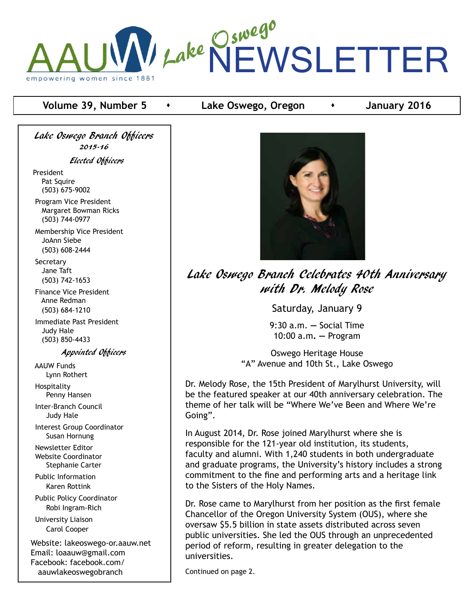

## **Volume 39, Number 5 •** Lake Oswego, Oregon **•** January 2016

Lake Oswego Branch Officers 2015-16 Elected Officers

President Pat Squire (503) 675-9002

 Program Vice President Margaret Bowman Ricks (503) 744-0977

 Membership Vice President JoAnn Siebe (503) 608-2444

**Secretary**  Jane Taft (503) 742-1653

 Finance Vice President Anne Redman (503) 684-1210

 Immediate Past President Judy Hale (503) 850-4433

Appointed Officers

 AAUW Funds Lynn Rothert Hospitality Penny Hansen Inter-Branch Council Judy Hale Interest Group Coordinator Susan Hornung Newsletter Editor Website Coordinator Stephanie Carter Public Information Karen Rottink Public Policy Coordinator Robi Ingram-Rich

 University Liaison Carol Cooper

Website: lakeoswego-or.aauw.net Email: loaauw@gmail.com Facebook: facebook.com/ aauwlakeoswegobranch



Lake Oswego Branch Celebrates 40th Anniversary with Dr. Melody Rose

Saturday, January 9

9:30 a.m. **—** Social Time 10:00 a.m**. —** Program

Oswego Heritage House "A" Avenue and 10th St., Lake Oswego

Dr. Melody Rose, the 15th President of Marylhurst University, will be the featured speaker at our 40th anniversary celebration. The theme of her talk will be "Where We've Been and Where We're Going".

In August 2014, Dr. Rose joined Marylhurst where she is responsible for the 121-year old institution, its students, faculty and alumni. With 1,240 students in both undergraduate and graduate programs, the University's history includes a strong commitment to the fine and performing arts and a heritage link to the Sisters of the Holy Names.

Dr. Rose came to Marylhurst from her position as the first female Chancellor of the Oregon University System (OUS), where she oversaw \$5.5 billion in state assets distributed across seven public universities. She led the OUS through an unprecedented period of reform, resulting in greater delegation to the universities.

Continued on page 2.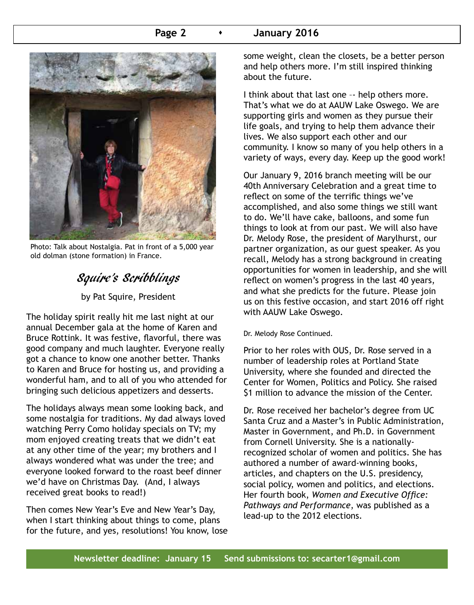### **Page 2 c c January 2016**



Photo: Talk about Nostalgia. Pat in front of a 5,000 year old dolman (stone formation) in France.

## Squire's Scribblings

by Pat Squire, President

The holiday spirit really hit me last night at our annual December gala at the home of Karen and Bruce Rottink. It was festive, flavorful, there was good company and much laughter. Everyone really got a chance to know one another better. Thanks to Karen and Bruce for hosting us, and providing a wonderful ham, and to all of you who attended for bringing such delicious appetizers and desserts.

The holidays always mean some looking back, and some nostalgia for traditions. My dad always loved watching Perry Como holiday specials on TV; my mom enjoyed creating treats that we didn't eat at any other time of the year; my brothers and I always wondered what was under the tree; and everyone looked forward to the roast beef dinner we'd have on Christmas Day. (And, I always received great books to read!)

Then comes New Year's Eve and New Year's Day, when I start thinking about things to come, plans for the future, and yes, resolutions! You know, lose some weight, clean the closets, be a better person and help others more. I'm still inspired thinking about the future.

I think about that last one –- help others more. That's what we do at AAUW Lake Oswego. We are supporting girls and women as they pursue their life goals, and trying to help them advance their lives. We also support each other and our community. I know so many of you help others in a variety of ways, every day. Keep up the good work!

Our January 9, 2016 branch meeting will be our 40th Anniversary Celebration and a great time to reflect on some of the terrific things we've accomplished, and also some things we still want to do. We'll have cake, balloons, and some fun things to look at from our past. We will also have Dr. Melody Rose, the president of Marylhurst, our partner organization, as our guest speaker. As you recall, Melody has a strong background in creating opportunities for women in leadership, and she will reflect on women's progress in the last 40 years, and what she predicts for the future. Please join us on this festive occasion, and start 2016 off right with AAUW Lake Oswego.

#### Dr. Melody Rose Continued.

Prior to her roles with OUS, Dr. Rose served in a number of leadership roles at Portland State University, where she founded and directed the Center for Women, Politics and Policy. She raised \$1 million to advance the mission of the Center.

Dr. Rose received her bachelor's degree from UC Santa Cruz and a Master's in Public Administration, Master in Government, and Ph.D. in Government from Cornell University. She is a nationallyrecognized scholar of women and politics. She has authored a number of award-winning books, articles, and chapters on the U.S. presidency, social policy, women and politics, and elections. Her fourth book, *Women and Executive Office: Pathways and Performance*, was published as a lead-up to the 2012 elections.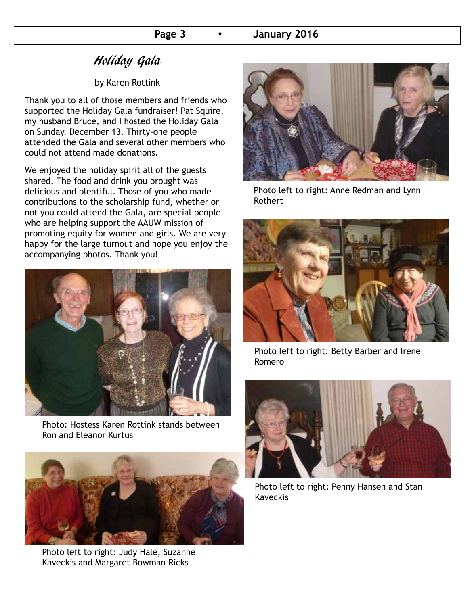# Holiday Gala

#### by Karen Rottink

Thank you to all of those members and friends who supported the Holiday Gala fundraiser! Pat Squire, my husband Bruce, and I hosted the Holiday Gala on Sunday, December 13. Thirty-one people attended the Gala and several other members who could not attend made donations.

We enjoyed the holiday spirit all of the guests shared. The food and drink you brought was delicious and plentiful. Those of you who made contributions to the scholarship fund, whether or not you could attend the Gala, are special people who are helping support the AAUW mission of promoting equity for women and girls. We are very happy for the large turnout and hope you enjoy the accompanying photos. Thank you!



Photo: Hostess Karen Rottink stands between Ron and Eleanor Kurtus



Photo left to right: Judy Hale, Suzanne Kaveckis and Margaret Bowman Ricks



Photo left to right: Anne Redman and Lynn Rothert



Photo left to right: Betty Barber and Irene Romero



Photo left to right: Penny Hansen and Stan Kaveckis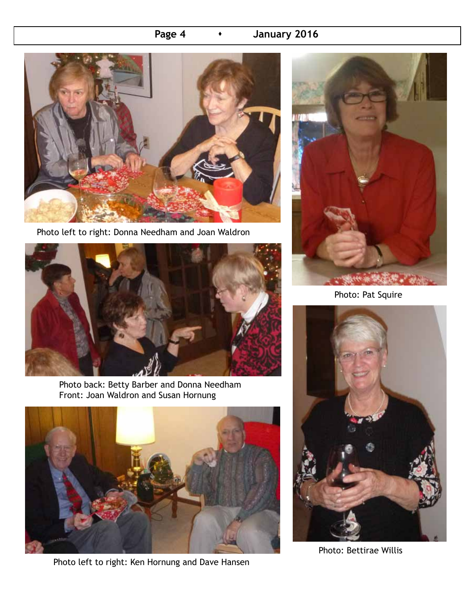## **Page 4 • January 2016**



Photo left to right: Donna Needham and Joan Waldron



Photo back: Betty Barber and Donna Needham Front: Joan Waldron and Susan Hornung



Photo left to right: Ken Hornung and Dave Hansen



Photo: Pat Squire



Photo: Bettirae Willis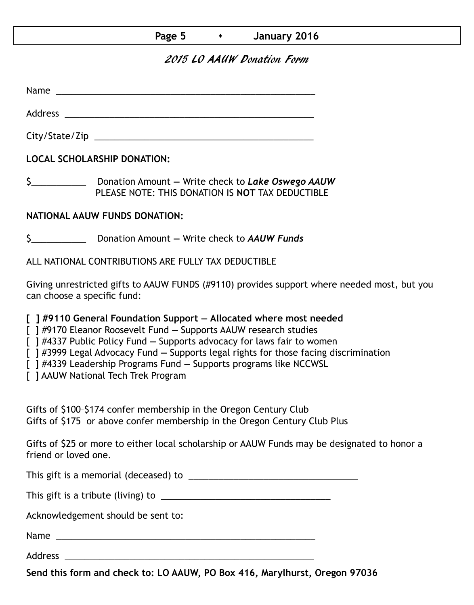### **Page 5 c i**

## 2015 LO AAUW Donation Form

Name was also as  $\sim$  100  $\mu$  and  $\mu$  and  $\mu$  and  $\mu$  and  $\mu$  and  $\mu$  and  $\mu$  and  $\mu$  and  $\mu$  and  $\mu$  and  $\mu$  and  $\mu$  and  $\mu$  and  $\mu$  and  $\mu$  and  $\mu$  and  $\mu$  and  $\mu$  and  $\mu$  and  $\mu$  and  $\mu$  and  $\mu$  an

Address \_\_\_\_\_\_\_\_\_\_\_\_\_\_\_\_\_\_\_\_\_\_\_\_\_\_\_\_\_\_\_\_\_\_\_\_\_\_\_\_\_\_\_\_\_\_\_\_\_\_ City/State/Zip 2000 and 2000 and 2000 and 2000 and 2000 and 2000 and 2000 and 2000 and 2000 and 200

**LOCAL SCHOLARSHIP DONATION:**

\$\_\_\_\_\_\_\_\_\_\_\_ Donation Amount **—** Write check to *Lake Oswego AAUW* PLEASE NOTE: THIS DONATION IS **NOT** TAX DEDUCTIBLE

### **NATIONAL AAUW FUNDS DONATION:**

\$\_\_\_\_\_\_\_\_\_\_\_ Donation Amount **—** Write check to *AAUW Funds*

ALL NATIONAL CONTRIBUTIONS ARE FULLY TAX DEDUCTIBLE

Giving unrestricted gifts to AAUW FUNDS (#9110) provides support where needed most, but you can choose a specific fund:

**[ ] #9110 General Foundation Support — Allocated where most needed** 

[ ] #9170 Eleanor Roosevelt Fund **—** Supports AAUW research studies

[ ] #4337 Public Policy Fund **—** Supports advocacy for laws fair to women

[ ] #3999 Legal Advocacy Fund **—** Supports legal rights for those facing discrimination

[ ] #4339 Leadership Programs Fund **—** Supports programs like NCCWSL

[ ] AAUW National Tech Trek Program

Gifts of \$100–\$174 confer membership in the Oregon Century Club Gifts of \$175 or above confer membership in the Oregon Century Club Plus

Gifts of \$25 or more to either local scholarship or AAUW Funds may be designated to honor a friend or loved one.

This gift is a memorial (deceased) to \_\_\_\_\_\_\_\_\_\_\_\_\_\_\_\_\_\_\_\_\_\_\_\_\_\_\_\_\_\_\_\_\_\_

This gift is a tribute (living) to \_\_\_\_\_\_\_\_\_\_\_\_\_\_\_\_\_\_\_\_\_\_\_\_\_\_\_\_\_\_\_\_\_\_

Acknowledgement should be sent to:

Name \_\_\_\_\_\_\_\_\_\_\_\_\_\_\_\_\_\_\_\_\_\_\_\_\_\_\_\_\_\_\_\_\_\_\_\_\_\_\_\_\_\_\_\_\_\_\_\_\_\_\_\_

Address \_\_\_\_\_\_\_\_\_\_\_\_\_\_\_\_\_\_\_\_\_\_\_\_\_\_\_\_\_\_\_\_\_\_\_\_\_\_\_\_\_\_\_\_\_\_\_\_\_\_

**Send this form and check to: LO AAUW, PO Box 416, Marylhurst, Oregon 97036**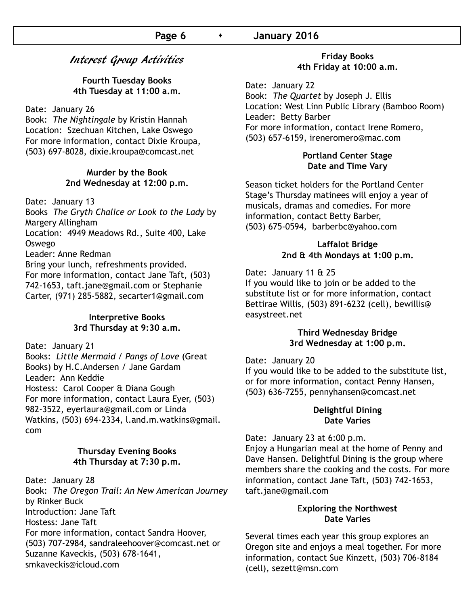## Interest Group Activities

**Fourth Tuesday Books 4th Tuesday at 11:00 a.m.**

Date: January 26

Book: *The Nightingale* by Kristin Hannah Location: Szechuan Kitchen, Lake Oswego For more information, contact Dixie Kroupa, (503) 697-8028, dixie.kroupa@comcast.net

#### **Murder by the Book 2nd Wednesday at 12:00 p.m.**

Date: January 13

Books *The Gryth Chalice or Look to the Lady* by Margery Allingham

Location: 4949 Meadows Rd., Suite 400, Lake Oswego

Leader: Anne Redman

Bring your lunch, refreshments provided.

For more information, contact Jane Taft, (503) 742-1653, taft.jane@gmail.com or Stephanie Carter, (971) 285-5882, secarter1@gmail.com

#### **Interpretive Books 3rd Thursday at 9:30 a.m.**

Date: January 21

Books: *Little Mermaid / Pangs of Love* (Great Books) by H.C.Andersen / Jane Gardam Leader: Ann Keddie Hostess: Carol Cooper & Diana Gough For more information, contact Laura Eyer, (503) 982-3522, eyerlaura@gmail.com or Linda Watkins, (503) 694-2334, l.and.m.watkins@gmail. com

#### **Thursday Evening Books 4th Thursday at 7:30 p.m.**

Date: January 28 Book: *The Oregon Trail: An New American Journey*  by Rinker Buck Introduction: Jane Taft Hostess: Jane Taft For more information, contact Sandra Hoover, (503) 707-2984, sandraleehoover@comcast.net or Suzanne Kaveckis, (503) 678-1641, smkaveckis@icloud.com

#### **Friday Books 4th Friday at 10:00 a.m.**

Date: January 22 Book: *The Quartet* by Joseph J. Ellis Location: West Linn Public Library (Bamboo Room) Leader: Betty Barber For more information, contact Irene Romero, (503) 657-6159, ireneromero@mac.com

#### **Portland Center Stage Date and Time Vary**

Season ticket holders for the Portland Center Stage's Thursday matinees will enjoy a year of musicals, dramas and comedies. For more information, contact Betty Barber, (503) 675-0594, barberbc@yahoo.com

#### **Laffalot Bridge 2nd & 4th Mondays at 1:00 p.m.**

Date: January 11 & 25

If you would like to join or be added to the substitute list or for more information, contact Bettirae Willis, (503) 891-6232 (cell), bewillis@ easystreet.net

#### **Third Wednesday Bridge 3rd Wednesday at 1:00 p.m.**

#### Date: January 20

If you would like to be added to the substitute list, or for more information, contact Penny Hansen, (503) 636-7255, pennyhansen@comcast.net

#### **Delightful Dining Date Varies**

Date: January 23 at 6:00 p.m. Enjoy a Hungarian meal at the home of Penny and Dave Hansen. Delightful Dining is the group where members share the cooking and the costs. For more information, contact Jane Taft, (503) 742-1653, taft.jane@gmail.com

#### E**xploring the Northwest Date Varies**

Several times each year this group explores an Oregon site and enjoys a meal together. For more information, contact Sue Kinzett, (503) 706-8184 (cell), sezett@msn.com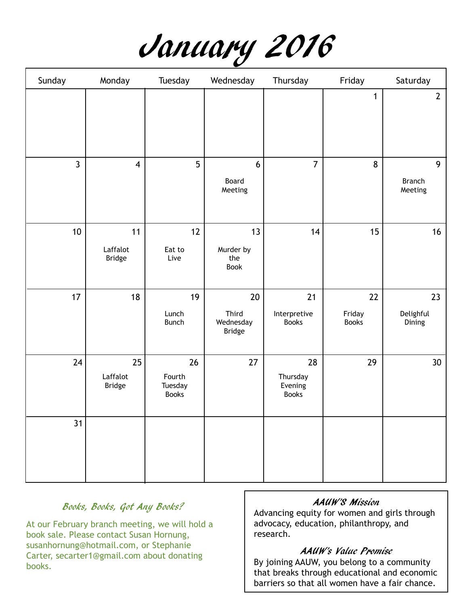

| Sunday         | Monday                          | Tuesday                                 | Wednesday                      | Thursday                                  | Friday                       | Saturday                      |
|----------------|---------------------------------|-----------------------------------------|--------------------------------|-------------------------------------------|------------------------------|-------------------------------|
|                |                                 |                                         |                                |                                           | $\mathbf{1}$                 | $\mathbf{2}$                  |
| $\overline{3}$ | $\overline{\mathbf{4}}$         | 5                                       | $6\,$<br>Board<br>Meeting      | $\overline{7}$                            | 8                            | 9<br><b>Branch</b><br>Meeting |
| 10             | 11<br>Laffalot<br>Bridge        | 12<br>Eat to<br>Live                    | 13<br>Murder by<br>the<br>Book | 14                                        | 15                           | 16                            |
| 17             | 18                              | 19<br>Lunch<br><b>Bunch</b>             | $20\,$<br>Third<br>Wednesday   | 21<br>Interpretive<br><b>Books</b>        | 22<br>Friday<br><b>Books</b> | 23<br>Delighful<br>Dining     |
|                |                                 |                                         | <b>Bridge</b>                  |                                           |                              |                               |
| 24             | 25<br>Laffalot<br><b>Bridge</b> | 26<br>Fourth<br>Tuesday<br><b>Books</b> | 27                             | 28<br>Thursday<br>Evening<br><b>Books</b> | 29                           | 30 <sup>°</sup>               |
| 31             |                                 |                                         |                                |                                           |                              |                               |

## Books, Books, Got Any Books?

At our February branch meeting, we will hold a book sale. Please contact Susan Hornung, susanhornung@hotmail.com, or Stephanie Carter, secarter1@gmail.com about donating books.

#### AAUW'S Mission

Advancing equity for women and girls through advocacy, education, philanthropy, and research.

## AAUW's Value Promise

By joining AAUW, you belong to a community that breaks through educational and economic barriers so that all women have a fair chance.